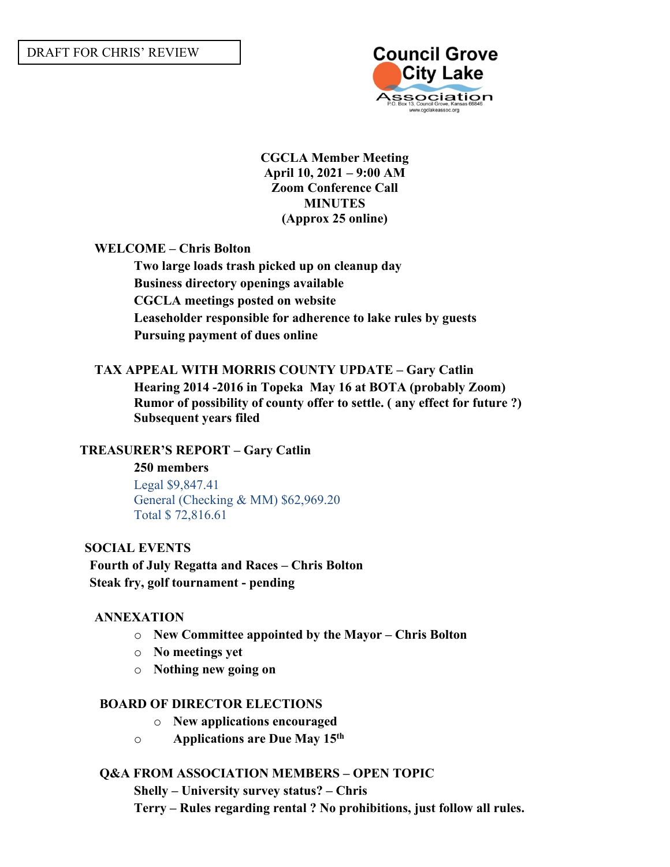

**CGCLA Member Meeting April 10, 2021 – 9:00 AM Zoom Conference Call MINUTES (Approx 25 online)**

**WELCOME – Chris Bolton** 

**Two large loads trash picked up on cleanup day Business directory openings available CGCLA meetings posted on website Leaseholder responsible for adherence to lake rules by guests Pursuing payment of dues online**

## **TAX APPEAL WITH MORRIS COUNTY UPDATE – Gary Catlin**

**Hearing 2014 -2016 in Topeka May 16 at BOTA (probably Zoom) Rumor of possibility of county offer to settle. ( any effect for future ?) Subsequent years filed**

## **TREASURER'S REPORT – Gary Catlin**

### **250 members**

Legal \$9,847.41 General (Checking & MM) \$62,969.20 Total \$ 72,816.61

### **SOCIAL EVENTS**

# **Fourth of July Regatta and Races – Chris Bolton Steak fry, golf tournament - pending**

## **ANNEXATION**

- o **New Committee appointed by the Mayor – Chris Bolton**
- o **No meetings yet**
- o **Nothing new going on**

## **BOARD OF DIRECTOR ELECTIONS**

- o **New applications encouraged**
- o **Applications are Due May 15th**

## **Q&A FROM ASSOCIATION MEMBERS – OPEN TOPIC**

**Shelly – University survey status? – Chris**

**Terry – Rules regarding rental ? No prohibitions, just follow all rules.**